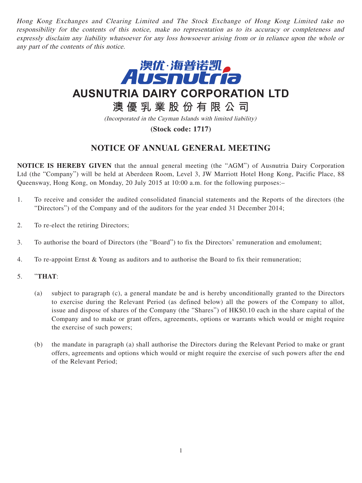Hong Kong Exchanges and Clearing Limited and The Stock Exchange of Hong Kong Limited take no responsibility for the contents of this notice, make no representation as to its accuracy or completeness and expressly disclaim any liability whatsoever for any loss howsoever arising from or in reliance upon the whole or any part of the contents of this notice.



**AUSNUTRIA DAIRY CORPORATION LTD**

# **澳優乳業股份有限公司**

(Incorporated in the Cayman Islands with limited liability)

**(Stock code: 1717)**

## **NOTICE OF ANNUAL GENERAL MEETING**

**NOTICE IS HEREBY GIVEN** that the annual general meeting (the "AGM") of Ausnutria Dairy Corporation Ltd (the "Company") will be held at Aberdeen Room, Level 3, JW Marriott Hotel Hong Kong, Pacific Place, 88 Queensway, Hong Kong, on Monday, 20 July 2015 at 10:00 a.m. for the following purposes:–

- 1. To receive and consider the audited consolidated financial statements and the Reports of the directors (the "Directors") of the Company and of the auditors for the year ended 31 December 2014;
- 2. To re-elect the retiring Directors;
- 3. To authorise the board of Directors (the "Board") to fix the Directors' remuneration and emolument;
- 4. To re-appoint Ernst & Young as auditors and to authorise the Board to fix their remuneration;
- 5. "**THAT**:
	- (a) subject to paragraph (c), a general mandate be and is hereby unconditionally granted to the Directors to exercise during the Relevant Period (as defined below) all the powers of the Company to allot, issue and dispose of shares of the Company (the "Shares") of HK\$0.10 each in the share capital of the Company and to make or grant offers, agreements, options or warrants which would or might require the exercise of such powers;
	- (b) the mandate in paragraph (a) shall authorise the Directors during the Relevant Period to make or grant offers, agreements and options which would or might require the exercise of such powers after the end of the Relevant Period;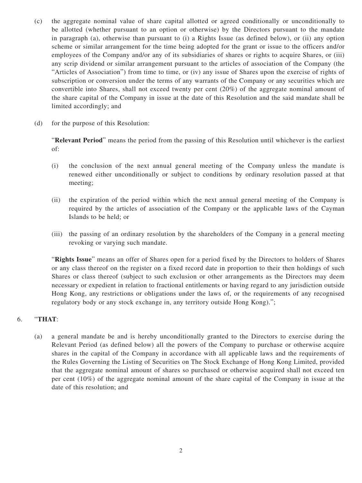- (c) the aggregate nominal value of share capital allotted or agreed conditionally or unconditionally to be allotted (whether pursuant to an option or otherwise) by the Directors pursuant to the mandate in paragraph (a), otherwise than pursuant to (i) a Rights Issue (as defined below), or (ii) any option scheme or similar arrangement for the time being adopted for the grant or issue to the officers and/or employees of the Company and/or any of its subsidiaries of shares or rights to acquire Shares, or (iii) any scrip dividend or similar arrangement pursuant to the articles of association of the Company (the "Articles of Association") from time to time, or (iv) any issue of Shares upon the exercise of rights of subscription or conversion under the terms of any warrants of the Company or any securities which are convertible into Shares, shall not exceed twenty per cent (20%) of the aggregate nominal amount of the share capital of the Company in issue at the date of this Resolution and the said mandate shall be limited accordingly; and
- (d) for the purpose of this Resolution:

"**Relevant Period**" means the period from the passing of this Resolution until whichever is the earliest of:

- (i) the conclusion of the next annual general meeting of the Company unless the mandate is renewed either unconditionally or subject to conditions by ordinary resolution passed at that meeting;
- (ii) the expiration of the period within which the next annual general meeting of the Company is required by the articles of association of the Company or the applicable laws of the Cayman Islands to be held; or
- (iii) the passing of an ordinary resolution by the shareholders of the Company in a general meeting revoking or varying such mandate.

"**Rights Issue**" means an offer of Shares open for a period fixed by the Directors to holders of Shares or any class thereof on the register on a fixed record date in proportion to their then holdings of such Shares or class thereof (subject to such exclusion or other arrangements as the Directors may deem necessary or expedient in relation to fractional entitlements or having regard to any jurisdiction outside Hong Kong, any restrictions or obligations under the laws of, or the requirements of any recognised regulatory body or any stock exchange in, any territory outside Hong Kong).";

### 6. "**THAT**:

(a) a general mandate be and is hereby unconditionally granted to the Directors to exercise during the Relevant Period (as defined below) all the powers of the Company to purchase or otherwise acquire shares in the capital of the Company in accordance with all applicable laws and the requirements of the Rules Governing the Listing of Securities on The Stock Exchange of Hong Kong Limited, provided that the aggregate nominal amount of shares so purchased or otherwise acquired shall not exceed ten per cent (10%) of the aggregate nominal amount of the share capital of the Company in issue at the date of this resolution; and